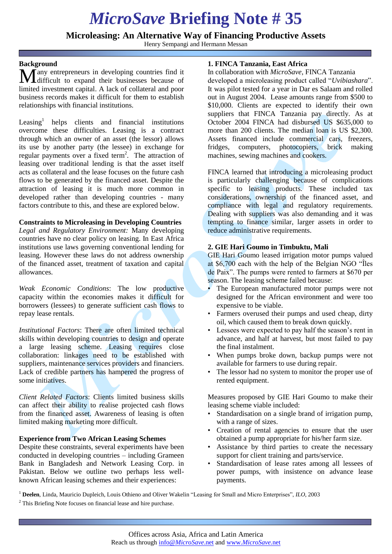# *MicroSave* **Briefing Note # 35**

**Microleasing: An Alternative Way of Financing Productive Assets**

Henry Sempangi and Hermann Messan

#### **Background**

**M** any entrepreneurs in developing countries find it difficult to expand their businesses because of difficult to expand their businesses because of limited investment capital. A lack of collateral and poor business records makes it difficult for them to establish relationships with financial institutions.

 $Leasing<sup>1</sup>$  helps clients and financial institutions overcome these difficulties. Leasing is a contract through which an owner of an asset (the lessor) allows its use by another party (the lessee) in exchange for regular payments over a fixed term<sup>2</sup>. The attraction of leasing over traditional lending is that the asset itself acts as collateral and the lease focuses on the future cash flows to be generated by the financed asset. Despite the attraction of leasing it is much more common in developed rather than developing countries - many factors contribute to this, and these are explored below.

### **Constraints to Microleasing in Developing Countries**

*Legal and Regulatory Environment:* Many developing countries have no clear policy on leasing. In East Africa institutions use laws governing conventional lending for leasing. However these laws do not address ownership of the financed asset, treatment of taxation and capital allowances.

*Weak Economic Conditions*: The low productive capacity within the economies makes it difficult for borrowers (lessees) to generate sufficient cash flows to repay lease rentals.

*Institutional Factors*: There are often limited technical skills within developing countries to design and operate a large leasing scheme. Leasing requires close collaboration: linkages need to be established with suppliers, maintenance services providers and financiers. Lack of credible partners has hampered the progress of some initiatives.

*Client Related Factors*: Clients limited business skills can affect their ability to realise projected cash flows from the financed asset. Awareness of leasing is often limited making marketing more difficult.

## **Experience from Two African Leasing Schemes**

Despite these constraints, several experiments have been conducted in developing countries – including Grameen Bank in Bangladesh and Network Leasing Corp. in Pakistan. Below we outline two perhaps less wellknown African leasing schemes and their experiences:

## **1. FINCA Tanzania, East Africa**

In collaboration with *MicroSave*, FINCA Tanzania developed a microleasing product called "*Uvibiashara*". It was pilot tested for a year in Dar es Salaam and rolled out in August 2004. Lease amounts range from \$500 to \$10,000. Clients are expected to identify their own suppliers that FINCA Tanzania pay directly. As at October 2004 FINCA had disbursed US \$635,000 to more than 200 clients. The median loan is US \$2,300. Assets financed include commercial cars, freezers, fridges, computers, photocopiers, brick making machines, sewing machines and cookers.

FINCA learned that introducing a microleasing product is particularly challenging because of complications specific to leasing products. These included tax considerations, ownership of the financed asset, and compliance with legal and regulatory requirements. Dealing with suppliers was also demanding and it was tempting to finance similar, larger assets in order to reduce administrative requirements.

#### **2. GIE Hari Goumo in Timbuktu, Mali**

GIE Hari Goumo leased irrigation motor pumps valued at \$6,700 each with the help of the Belgian NGO "Îles de Paix". The pumps were rented to farmers at \$670 per season. The leasing scheme failed because:

- The European manufactured motor pumps were not designed for the African environment and were too expensive to be viable.
- Farmers overused their pumps and used cheap, dirty oil, which caused them to break down quickly.
- Lessees were expected to pay half the season's rent in advance, and half at harvest, but most failed to pay the final instalment.
- When pumps broke down, backup pumps were not available for farmers to use during repair.
- The lessor had no system to monitor the proper use of rented equipment.

Measures proposed by GIE Hari Goumo to make their leasing scheme viable included:

- Standardisation on a single brand of irrigation pump, with a range of sizes.
- Creation of rental agencies to ensure that the user obtained a pump appropriate for his/her farm size.
- Assistance by third parties to create the necessary support for client training and parts/service.
- Standardisation of lease rates among all lessees of power pumps, with insistence on advance lease payments.

<sup>1</sup> **Deelen**, Linda, Mauricio Dupleich, Louis Othieno and Oliver Wakelin "Leasing for Small and Micro Enterprises", *ILO*, 2003

<sup>2</sup> This Briefing Note focuses on financial lease and hire purchase.